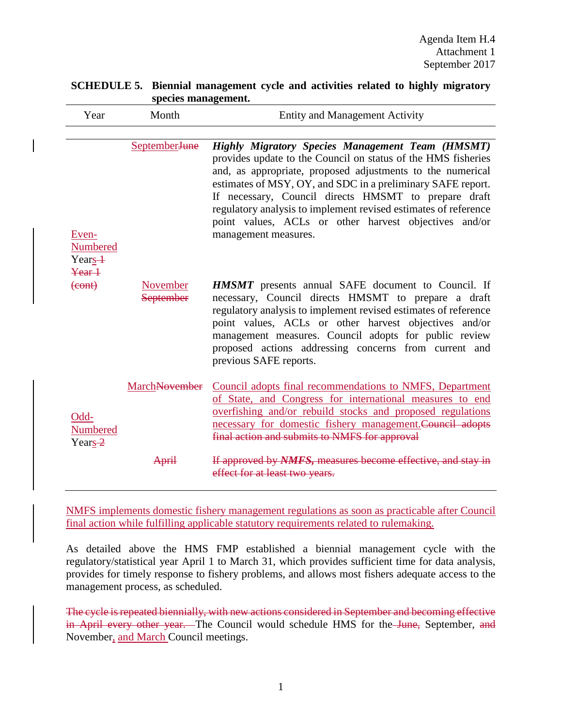| Year                                                | Month                        | <b>Entity and Management Activity</b>                                                                                                                                                                                                                                                                                                                                                                                                                             |
|-----------------------------------------------------|------------------------------|-------------------------------------------------------------------------------------------------------------------------------------------------------------------------------------------------------------------------------------------------------------------------------------------------------------------------------------------------------------------------------------------------------------------------------------------------------------------|
| Even-<br>Numbered<br>Year <sub>s</sub> <sup>+</sup> | September <sub>June</sub>    | <b>Highly Migratory Species Management Team (HMSMT)</b><br>provides update to the Council on status of the HMS fisheries<br>and, as appropriate, proposed adjustments to the numerical<br>estimates of MSY, OY, and SDC in a preliminary SAFE report.<br>If necessary, Council directs HMSMT to prepare draft<br>regulatory analysis to implement revised estimates of reference<br>point values, ACLs or other harvest objectives and/or<br>management measures. |
| Year 1<br>$(cont)$                                  | November<br><b>September</b> | <b>HMSMT</b> presents annual SAFE document to Council. If<br>necessary, Council directs HMSMT to prepare a draft<br>regulatory analysis to implement revised estimates of reference<br>point values, ACLs or other harvest objectives and/or<br>management measures. Council adopts for public review<br>proposed actions addressing concerns from current and<br>previous SAFE reports.                                                                          |
| Odd-<br>Numbered<br>Years-2                         | MarchNovember                | Council adopts final recommendations to NMFS, Department<br>of State, and Congress for international measures to end<br>overfishing and/or rebuild stocks and proposed regulations<br>necessary for domestic fishery management. Council adopts<br>final action and submits to NMFS for approval                                                                                                                                                                  |
|                                                     | <b>April</b>                 | If approved by NMFS, measures become effective, and stay in<br>effect for at least two years.                                                                                                                                                                                                                                                                                                                                                                     |

## **SCHEDULE 5. Biennial management cycle and activities related to highly migratory species management.**

NMFS implements domestic fishery management regulations as soon as practicable after Council final action while fulfilling applicable statutory requirements related to rulemaking.

As detailed above the HMS FMP established a biennial management cycle with the regulatory/statistical year April 1 to March 31, which provides sufficient time for data analysis, provides for timely response to fishery problems, and allows most fishers adequate access to the management process, as scheduled.

The cycle is repeated biennially, with new actions considered in September and becoming effective in April every other year. The Council would schedule HMS for the June, September, and November, and March Council meetings.